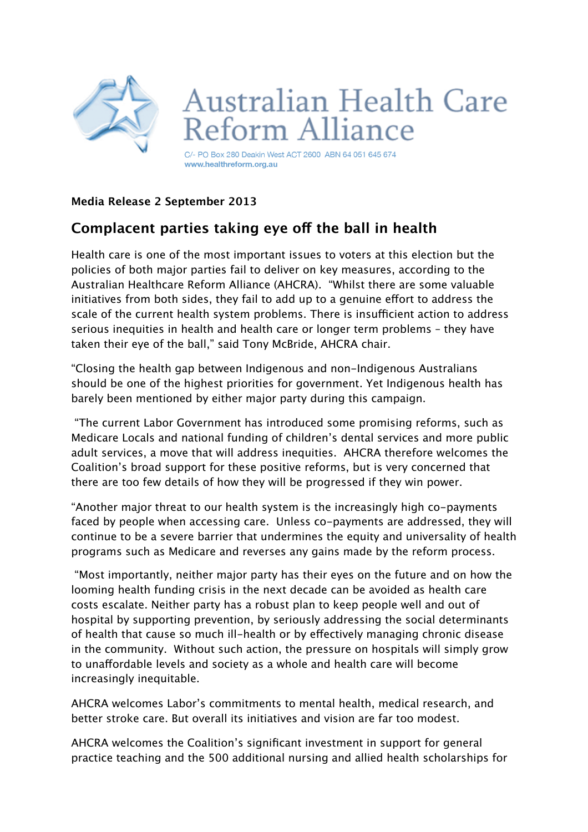

## **Media Release 2 September 2013**

## **Complacent parties taking eye of the ball in health**

Health care is one of the most important issues to voters at this election but the policies of both major parties fail to deliver on key measures, according to the Australian Healthcare Reform Alliance (AHCRA). "Whilst there are some valuable initiatives from both sides, they fail to add up to a genuine efort to address the scale of the current health system problems. There is insufficient action to address serious inequities in health and health care or longer term problems – they have taken their eye of the ball," said Tony McBride, AHCRA chair.

"Closing the health gap between Indigenous and non-Indigenous Australians should be one of the highest priorities for government. Yet Indigenous health has barely been mentioned by either major party during this campaign.

 "The current Labor Government has introduced some promising reforms, such as Medicare Locals and national funding of children's dental services and more public adult services, a move that will address inequities. AHCRA therefore welcomes the Coalition's broad support for these positive reforms, but is very concerned that there are too few details of how they will be progressed if they win power.

"Another major threat to our health system is the increasingly high co-payments faced by people when accessing care. Unless co-payments are addressed, they will continue to be a severe barrier that undermines the equity and universality of health programs such as Medicare and reverses any gains made by the reform process.

 "Most importantly, neither major party has their eyes on the future and on how the looming health funding crisis in the next decade can be avoided as health care costs escalate. Neither party has a robust plan to keep people well and out of hospital by supporting prevention, by seriously addressing the social determinants of health that cause so much ill-health or by efectively managing chronic disease in the community. Without such action, the pressure on hospitals will simply grow to unaffordable levels and society as a whole and health care will become increasingly inequitable.

AHCRA welcomes Labor's commitments to mental health, medical research, and better stroke care. But overall its initiatives and vision are far too modest.

AHCRA welcomes the Coalition's significant investment in support for general practice teaching and the 500 additional nursing and allied health scholarships for